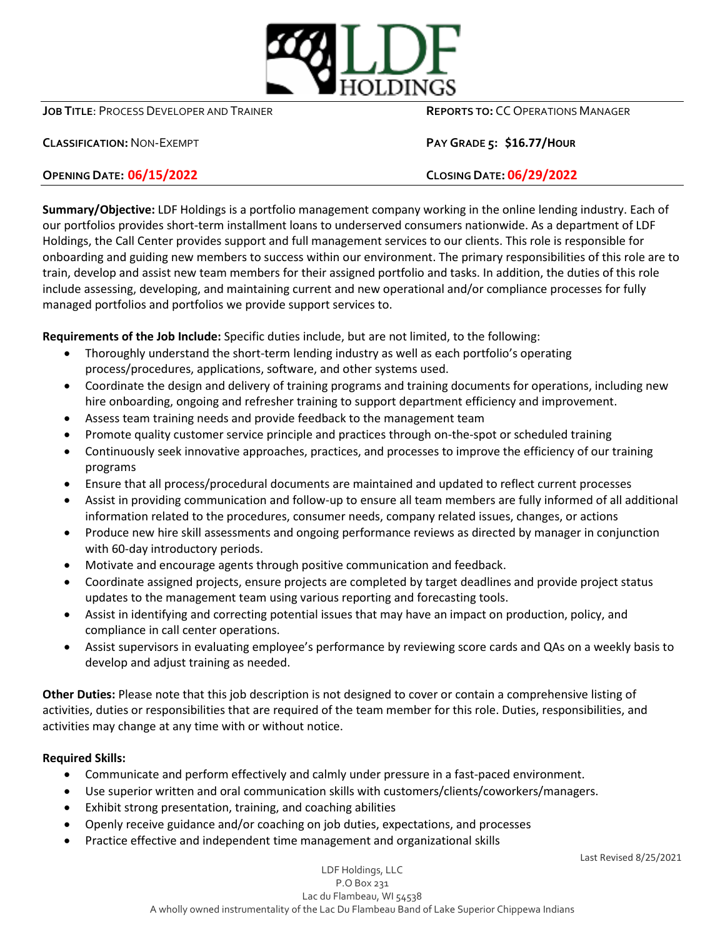

**JOB TITLE**: PROCESS DEVELOPER AND TRAINER **REPORTS TO:** CC OPERATIONS MANAGER

**CLASSIFICATION:**NON-EXEMPT **PAY GRADE 5: \$16.77/HOUR**

## **OPENING DATE: 06/15/2022 CLOSING DATE: 06/29/2022**

**Summary/Objective:** LDF Holdings is a portfolio management company working in the online lending industry. Each of our portfolios provides short-term installment loans to underserved consumers nationwide. As a department of LDF Holdings, the Call Center provides support and full management services to our clients. This role is responsible for onboarding and guiding new members to success within our environment. The primary responsibilities of this role are to train, develop and assist new team members for their assigned portfolio and tasks. In addition, the duties of this role include assessing, developing, and maintaining current and new operational and/or compliance processes for fully managed portfolios and portfolios we provide support services to.

**Requirements of the Job Include:** Specific duties include, but are not limited, to the following:

- Thoroughly understand the short-term lending industry as well as each portfolio's operating process/procedures, applications, software, and other systems used.
- Coordinate the design and delivery of training programs and training documents for operations, including new hire onboarding, ongoing and refresher training to support department efficiency and improvement.
- Assess team training needs and provide feedback to the management team
- Promote quality customer service principle and practices through on-the-spot or scheduled training
- Continuously seek innovative approaches, practices, and processes to improve the efficiency of our training programs
- Ensure that all process/procedural documents are maintained and updated to reflect current processes
- Assist in providing communication and follow-up to ensure all team members are fully informed of all additional information related to the procedures, consumer needs, company related issues, changes, or actions
- Produce new hire skill assessments and ongoing performance reviews as directed by manager in conjunction with 60-day introductory periods.
- Motivate and encourage agents through positive communication and feedback.
- Coordinate assigned projects, ensure projects are completed by target deadlines and provide project status updates to the management team using various reporting and forecasting tools.
- Assist in identifying and correcting potential issues that may have an impact on production, policy, and compliance in call center operations.
- Assist supervisors in evaluating employee's performance by reviewing score cards and QAs on a weekly basis to develop and adjust training as needed.

**Other Duties:** Please note that this job description is not designed to cover or contain a comprehensive listing of activities, duties or responsibilities that are required of the team member for this role. Duties, responsibilities, and activities may change at any time with or without notice.

## **Required Skills:**

- Communicate and perform effectively and calmly under pressure in a fast-paced environment.
- Use superior written and oral communication skills with customers/clients/coworkers/managers.
- Exhibit strong presentation, training, and coaching abilities
- Openly receive guidance and/or coaching on job duties, expectations, and processes
- Practice effective and independent time management and organizational skills

Last Revised 8/25/2021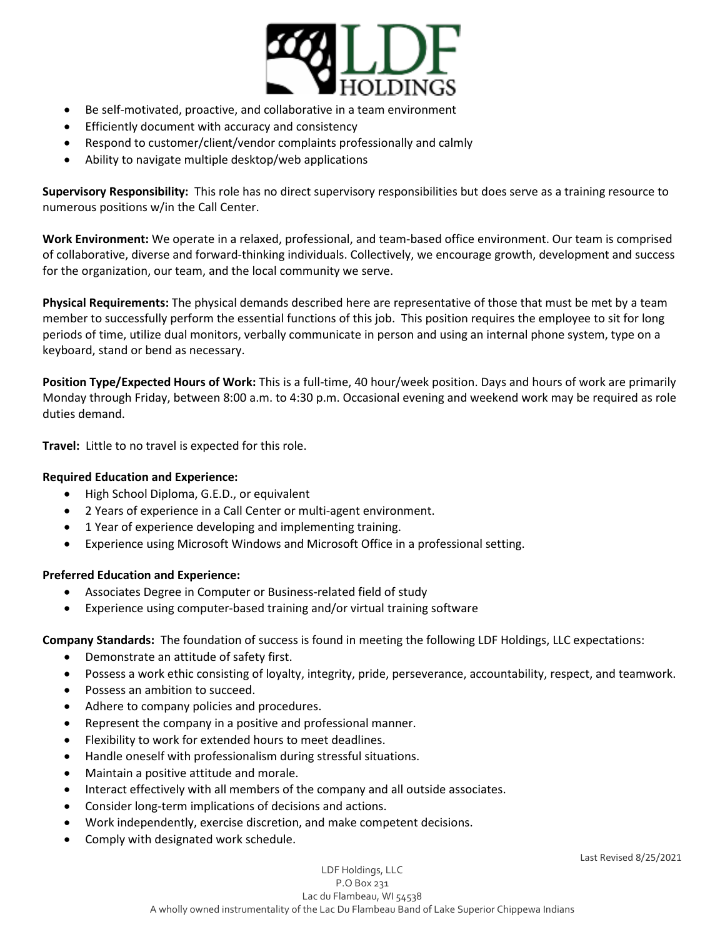

- Be self-motivated, proactive, and collaborative in a team environment
- **•** Efficiently document with accuracy and consistency
- Respond to customer/client/vendor complaints professionally and calmly
- Ability to navigate multiple desktop/web applications

**Supervisory Responsibility:** This role has no direct supervisory responsibilities but does serve as a training resource to numerous positions w/in the Call Center.

**Work Environment:** We operate in a relaxed, professional, and team-based office environment. Our team is comprised of collaborative, diverse and forward-thinking individuals. Collectively, we encourage growth, development and success for the organization, our team, and the local community we serve.

**Physical Requirements:** The physical demands described here are representative of those that must be met by a team member to successfully perform the essential functions of this job. This position requires the employee to sit for long periods of time, utilize dual monitors, verbally communicate in person and using an internal phone system, type on a keyboard, stand or bend as necessary.

**Position Type/Expected Hours of Work:** This is a full-time, 40 hour/week position. Days and hours of work are primarily Monday through Friday, between 8:00 a.m. to 4:30 p.m. Occasional evening and weekend work may be required as role duties demand.

**Travel:** Little to no travel is expected for this role.

## **Required Education and Experience:**

- High School Diploma, G.E.D., or equivalent
- 2 Years of experience in a Call Center or multi-agent environment.
- 1 Year of experience developing and implementing training.
- Experience using Microsoft Windows and Microsoft Office in a professional setting.

## **Preferred Education and Experience:**

- Associates Degree in Computer or Business-related field of study
- Experience using computer-based training and/or virtual training software

**Company Standards:** The foundation of success is found in meeting the following LDF Holdings, LLC expectations:

- Demonstrate an attitude of safety first.
- Possess a work ethic consisting of loyalty, integrity, pride, perseverance, accountability, respect, and teamwork.
- Possess an ambition to succeed.
- Adhere to company policies and procedures.
- Represent the company in a positive and professional manner.
- Flexibility to work for extended hours to meet deadlines.
- Handle oneself with professionalism during stressful situations.
- Maintain a positive attitude and morale.
- Interact effectively with all members of the company and all outside associates.
- Consider long-term implications of decisions and actions.
- Work independently, exercise discretion, and make competent decisions.
- Comply with designated work schedule.